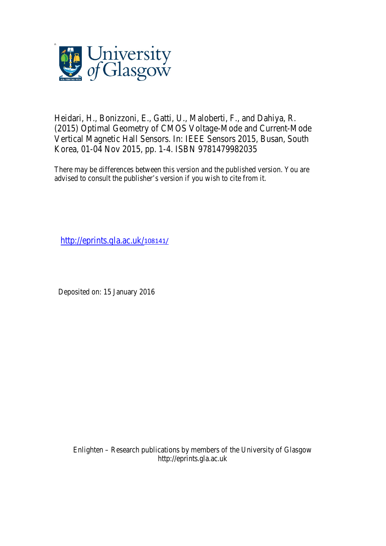

Heidari, H., Bonizzoni, E., Gatti, U., Maloberti, F., and Dahiya, R. (2015) Optimal Geometry of CMOS Voltage-Mode and Current-Mode Vertical Magnetic Hall Sensors. In: IEEE Sensors 2015, Busan, South Korea, 01-04 Nov 2015, pp. 1-4. ISBN 9781479982035

There may be differences between this version and the published version. You are advised to consult the publisher's version if you wish to cite from it.

http://eprints.gla.ac.uk/108141/

Deposited on: 15 January 2016

Enlighten – Research publications by members of the University of Glasgow http://eprints.gla.ac.uk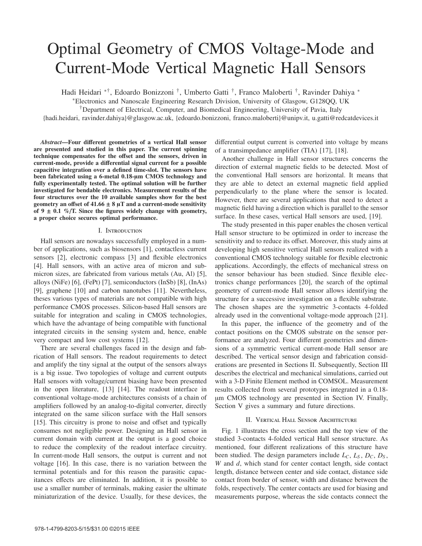# Optimal Geometry of CMOS Voltage-Mode and Current-Mode Vertical Magnetic Hall Sensors

Hadi Heidari ∗†, Edoardo Bonizzoni †, Umberto Gatti †, Franco Maloberti †, Ravinder Dahiya <sup>∗</sup>

<sup>∗</sup>Electronics and Nanoscale Engineering Research Division, University of Glasgow, G128QQ, UK

†Department of Electrical, Computer, and Biomedical Engineering, University of Pavia, Italy

{hadi.heidari, ravinder.dahiya}@glasgow.ac.uk, {edoardo.bonizzoni, franco.maloberti}@unipv.it, u.gatti@redcatdevices.it

*Abstract*—Four different geometries of a vertical Hall sensor are presented and studied in this paper. The current spinning technique compensates for the offset and the sensors, driven in current-mode, provide a differential signal current for a possible capacitive integration over a defined time-slot. The sensors have been fabricated using a 6-metal 0.18-μm CMOS technology and fully experimentally tested. The optimal solution will be further investigated for bendable electronics. Measurement results of the four structures over the 10 available samples show for the best geometry an offset of  $41.66 \pm 8$  µT and a current-mode sensitivity of 9  $\pm$  0.1 %/T. Since the figures widely change with geometry, a proper choice secures optimal performance.

## I. Introduction

Hall sensors are nowadays successfully employed in a number of applications, such as biosensors [1], contactless current sensors [2], electronic compass [3] and flexible electronics [4]. Hall sensors, with an active area of micron and submicron sizes, are fabricated from various metals (Au, Al) [5], alloys (NiFe) [6], (FePt) [7], semiconductors (InSb) [8], (InAs) [9], graphene [10] and carbon nanotubes [11]. Nevertheless, theses various types of materials are not compatible with high performance CMOS processes. Silicon-based Hall sensors are suitable for integration and scaling in CMOS technologies, which have the advantage of being compatible with functional integrated circuits in the sensing system and, hence, enable very compact and low cost systems [12].

There are several challenges faced in the design and fabrication of Hall sensors. The readout requirements to detect and amplify the tiny signal at the output of the sensors always is a big issue. Two topologies of voltage and current outputs Hall sensors with voltage/current biasing have been presented in the open literature, [13] [14]. The readout interface in conventional voltage-mode architectures consists of a chain of amplifiers followed by an analog-to-digital converter, directly integrated on the same silicon surface with the Hall sensors [15]. This circuitry is prone to noise and offset and typically consumes not negligible power. Designing an Hall sensor in current domain with current at the output is a good choice to reduce the complexity of the readout interface circuitry. In current-mode Hall sensors, the output is current and not voltage [16]. In this case, there is no variation between the terminal potentials and for this reason the parasitic capacitances effects are eliminated. In addition, it is possible to use a smaller number of terminals, making easier the ultimate miniaturization of the device. Usually, for these devices, the

differential output current is converted into voltage by means of a transimpedance amplifier (TIA) [17], [18].

Another challenge in Hall sensor structures concerns the direction of external magnetic fields to be detected. Most of the conventional Hall sensors are horizontal. It means that they are able to detect an external magnetic field applied perpendicularly to the plane where the sensor is located. However, there are several applications that need to detect a magnetic field having a direction which is parallel to the sensor surface. In these cases, vertical Hall sensors are used, [19].

The study presented in this paper enables the chosen vertical Hall sensor structure to be optimized in order to increase the sensitivity and to reduce its offset. Moreover, this study aims at developing high sensitive vertical Hall sensors realized with a conventional CMOS technology suitable for flexible electronic applications. Accordingly, the effects of mechanical stress on the sensor behaviour has been studied. Since flexible electronics change performances [20], the search of the optimal geometry of current-mode Hall sensor allows identifying the structure for a successive investigation on a flexible substrate. The chosen shapes are the symmetric 3-contacts 4-folded already used in the conventional voltage-mode approach [21].

In this paper, the influence of the geometry and of the contact positions on the CMOS substrate on the sensor performance are analyzed. Four different geometries and dimensions of a symmetric vertical current-mode Hall sensor are described. The vertical sensor design and fabrication considerations are presented in Sections II. Subsequently, Section III describes the electrical and mechanical simulations, carried out with a 3-D Finite Element method in COMSOL. Measurement results collected from several prototypes integrated in a 0.18 μm CMOS technology are presented in Section IV. Finally, Section V gives a summary and future directions.

## II. Vertical Hall Sensor Architecture

Fig. 1 illustrates the cross section and the top view of the studied 3-contacts 4-folded vertical Hall sensor structure. As mentioned, four different realizations of this structure have been studied. The design parameters include  $L_C$ ,  $L_S$ ,  $D_C$ ,  $D_S$ , *W* and *d*, which stand for center contact length, side contact length, distance between center and side contact, distance side contact from border of sensor, width and distance between the folds, respectively. The center contacts are used for biasing and measurements purpose, whereas the side contacts connect the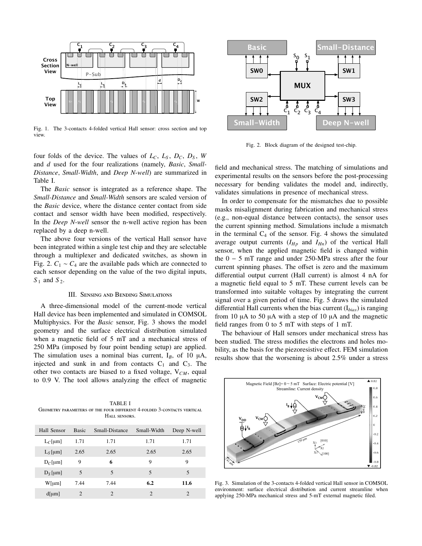

Fig. 1. The 3-contacts 4-folded vertical Hall sensor: cross section and top view.

four folds of the device. The values of  $L_c$ ,  $L_s$ ,  $D_c$ ,  $D_s$ ,  $W$ and *d* used for the four realizations (namely, *Basic*, *Small-Distance*, *Small-Width*, and *Deep N-well*) are summarized in Table I.

The *Basic* sensor is integrated as a reference shape. The *Small-Distance* and *Small-Width* sensors are scaled version of the *Basic* device, where the distance center contact from side contact and sensor width have been modified, respectively. In the *Deep N-well* sensor the n-well active region has been replaced by a deep n-well.

The above four versions of the vertical Hall sensor have been integrated within a single test chip and they are selectable through a multiplexer and dedicated switches, as shown in Fig. 2.  $C_1 \sim C_4$  are the available pads which are connected to each sensor depending on the value of the two digital inputs, *S*<sub>1</sub> and *S*<sub>2</sub>.

## III. Sensing and Bending Simulations

A three-dimensional model of the current-mode vertical Hall device has been implemented and simulated in COMSOL Multiphysics. For the *Basic* sensor, Fig. 3 shows the model geometry and the surface electrical distribution simulated when a magnetic field of 5 mT and a mechanical stress of 250 MPa (imposed by four point bending setup) are applied. The simulation uses a nominal bias current,  $I_B$ , of 10  $\mu$ A, injected and sunk in and from contacts  $C_1$  and  $C_3$ . The other two contacts are biased to a fixed voltage, V*CM*, equal to 0.9 V. The tool allows analyzing the effect of magnetic

TABLE I Geometry parameters of the four different 4-folded 3-contacts vertical HALL SENSORS.

| Hall Sensor | <b>Basic</b> | Small-Distance | Small-Width   | Deep N-well   |
|-------------|--------------|----------------|---------------|---------------|
| $L_C$ [µm]  | 1.71         | 1.71           | 1.71          | 1.71          |
| $L_S$ [µm]  | 2.65         | 2.65           | 2.65          | 2.65          |
| $D_C$ [µm]  | 9            | 6              | 9             | 9             |
| $D_S$ [µm]  | 5            | 5              | 5             | 5             |
| W[µm]       | 7.44         | 7.44           | 6.2           | 11.6          |
| $d$ [µm]    | 2            | $\mathfrak{D}$ | $\mathcal{D}$ | $\mathcal{D}$ |



Fig. 2. Block diagram of the designed test-chip.

field and mechanical stress. The matching of simulations and experimental results on the sensors before the post-processing necessary for bending validates the model and, indirectly, validates simulations in presence of mechanical stress.

In order to compensate for the mismatches due to possible masks misalignment during fabrication and mechanical stress (e.g., non-equal distance between contacts), the sensor uses the current spinning method. Simulations include a mismatch in the terminal  $C_4$  of the sensor. Fig. 4 shows the simulated average output currents  $(I_{Hp}$  and  $I_{Hn}$ ) of the vertical Hall sensor, when the applied magnetic field is changed within the 0 − 5 mT range and under 250-MPa stress after the four current spinning phases. The offset is zero and the maximum differential output current (Hall current) is almost 4 nA for a magnetic field equal to 5 mT. These current levels can be transformed into suitable voltages by integrating the current signal over a given period of time. Fig. 5 draws the simulated differential Hall currents when the bias current (I*bias*) is ranging from 10 μA to 50 μA with a step of 10 μA and the magnetic field ranges from 0 to 5 mT with steps of 1 mT.

The behaviour of Hall sensors under mechanical stress has been studied. The stress modifies the electrons and holes mobility, as the basis for the piezoresistive effect. FEM simulation results show that the worsening is about 2.5% under a stress



Fig. 3. Simulation of the 3-contacts 4-folded vertical Hall sensor in COMSOL environment: surface electrical distribution and current streamline when applying 250-MPa mechanical stress and 5-mT external magnetic filed.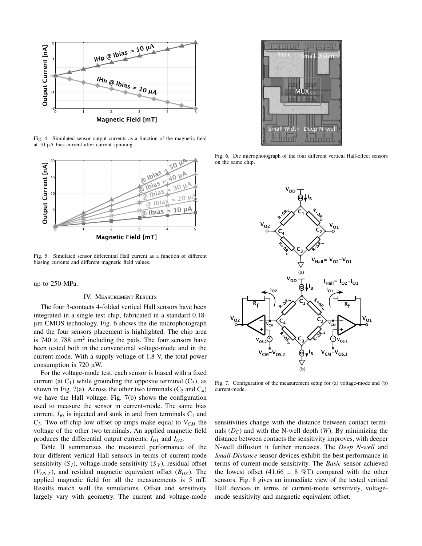

Fig. 4. Simulated sensor output currents as a function of the magnetic field at 10 μA bias current after current spinning.



Fig. 5. Simulated sensor differential Hall current as a function of different biasing currents and different magnetic field values.

up to 250 MPa.

## IV. Measurement Results

The four 3-contacts 4-folded vertical Hall sensors have been integrated in a single test chip, fabricated in a standard 0.18 μm CMOS technology. Fig. 6 shows the die microphotograph and the four sensors placement is highlighted. The chip area is 740  $\times$  788  $\mu$ m<sup>2</sup> including the pads. The four sensors have been tested both in the conventional voltage-mode and in the current-mode. With a supply voltage of 1.8 V, the total power consumption is 720 μW.

For the voltage-mode test, each sensor is biased with a fixed current (at  $C_1$ ) while grounding the opposite terminal  $(C_3)$ , as shown in Fig. 7(a). Across the other two terminals  $(C_2 \text{ and } C_4)$ we have the Hall voltage. Fig. 7(b) shows the configuration used to measure the sensor in current-mode. The same bias current,  $I_B$ , is injected and sunk in and from terminals  $C_1$  and  $C_3$ . Two off-chip low offset op-amps make equal to  $V_{CM}$  the voltage of the other two terminals. An applied magnetic field produces the differential output currents,  $I_{O1}$  and  $I_{O2}$ .

Table II summarizes the measured performance of the four different vertical Hall sensors in terms of current-mode sensitivity  $(S_I)$ , voltage-mode sensitivity  $(S_V)$ , residual offset  $(V_{OS,T})$ , and residual magnetic equivalent offset  $(B_{OS})$ . The applied magnetic field for all the measurements is 5 mT. Results match well the simulations. Offset and sensitivity largely vary with geometry. The current and voltage-mode



Fig. 6. Die microphotograph of the four different vertical Hall-effect sensors on the same chip.



Fig. 7. Configuration of the measurement setup for (a) voltage-mode and (b) current-mode.

sensitivities change with the distance between contact terminals  $(D<sub>C</sub>)$  and with the N-well depth  $(W)$ . By minimizing the distance between contacts the sensitivity improves, with deeper N-well diffusion it further increases. The *Deep N-well* and *Small-Distance* sensor devices exhibit the best performance in terms of current-mode sensitivity. The *Basic* sensor achieved the lowest offset (41.66  $\pm$  8 %T) compared with the other sensors. Fig. 8 gives an immediate view of the tested vertical Hall devices in terms of current-mode sensitivity, voltagemode sensitivity and magnetic equivalent offset.